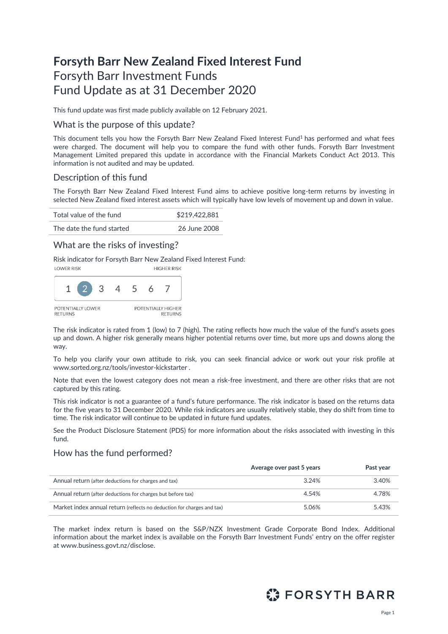# **Forsyth Barr New Zealand Fixed Interest Fund** Forsyth Barr Investment Funds Fund Update as at 31 December 2020

This fund update was first made publicly available on 12 February 2021.

#### What is the purpose of this update?

This document tells you how the Forsyth Barr New Zealand Fixed Interest Fund<sup>1</sup> has performed and what fees were charged. The document will help you to compare the fund with other funds. Forsyth Barr Investment Management Limited prepared this update in accordance with the Financial Markets Conduct Act 2013. This information is not audited and may be updated.

## Description of this fund

The Forsyth Barr New Zealand Fixed Interest Fund aims to achieve positive long-term returns by investing in selected New Zealand fixed interest assets which will typically have low levels of movement up and down in value.

| Total value of the fund   | \$219,422,881 |
|---------------------------|---------------|
| The date the fund started | 26 June 2008  |

### What are the risks of investing?

Risk indicator for Forsyth Barr New Zealand Fixed Interest Fund:



The risk indicator is rated from 1 (low) to 7 (high). The rating reflects how much the value of the fund's assets goes up and down. A higher risk generally means higher potential returns over time, but more ups and downs along the way.

To help you clarify your own attitude to risk, you can seek financial advice or work out your risk profile at [www.sorted.org.nz/tools/investor-kickstarter](http://www.sorted.org.nz/tools/investor-kickstarter) .

Note that even the lowest category does not mean a risk-free investment, and there are other risks that are not captured by this rating.

This risk indicator is not a guarantee of a fund's future performance. The risk indicator is based on the returns data for the five years to 31 December 2020. While risk indicators are usually relatively stable, they do shift from time to time. The risk indicator will continue to be updated in future fund updates.

See the Product Disclosure Statement (PDS) for more information about the risks associated with investing in this fund.

## How has the fund performed?

|                                                                        | Average over past 5 years | Past year |
|------------------------------------------------------------------------|---------------------------|-----------|
| Annual return (after deductions for charges and tax)                   | 3.24%                     | 3.40%     |
| Annual return (after deductions for charges but before tax)            | 4.54%                     | 4.78%     |
| Market index annual return (reflects no deduction for charges and tax) | 5.06%                     | 5.43%     |

The market index return is based on the S&P/NZX Investment Grade Corporate Bond Index. Additional information about the market index is available on the Forsyth Barr Investment Funds' entry on the offer register at [www.business.govt.nz/disclose.](http://www.business.govt.nz/disclose)

# **ES FORSYTH BARR**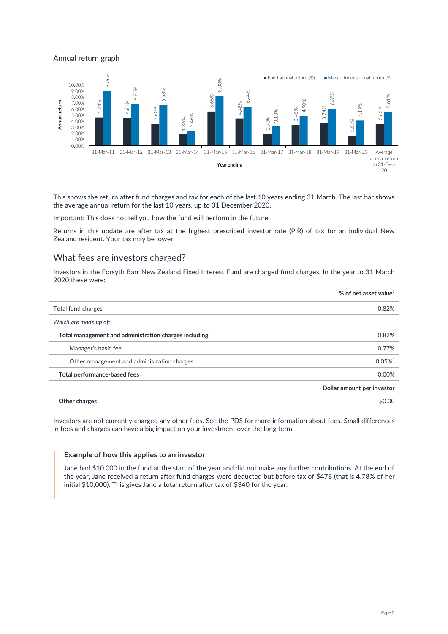#### Annual return graph



This shows the return after fund charges and tax for each of the last 10 years ending 31 March. The last bar shows the average annual return for the last 10 years, up to 31 December 2020.

Important: This does not tell you how the fund will perform in the future.

Returns in this update are after tax at the highest prescribed investor rate (PIR) of tax for an individual New Zealand resident. Your tax may be lower.

#### What fees are investors charged?

Investors in the Forsyth Barr New Zealand Fixed Interest Fund are charged fund charges. In the year to 31 March 2020 these were:

|                                                       | % of net asset value <sup>2</sup> |
|-------------------------------------------------------|-----------------------------------|
| Total fund charges                                    | 0.82%                             |
| Which are made up of:                                 |                                   |
| Total management and administration charges including | 0.82%                             |
| Manager's basic fee                                   | 0.77%                             |
| Other management and administration charges           | $0.05\%$ <sup>3</sup>             |
| Total performance-based fees                          | 0.00%                             |
|                                                       | Dollar amount per investor        |
| Other charges                                         | \$0.00                            |

Investors are not currently charged any other fees. See the PDS for more information about fees. Small differences in fees and charges can have a big impact on your investment over the long term.

#### **Example of how this applies to an investor**

Jane had \$10,000 in the fund at the start of the year and did not make any further contributions. At the end of the year, Jane received a return after fund charges were deducted but before tax of \$478 (that is 4.78% of her initial \$10,000). This gives Jane a total return after tax of \$340 for the year.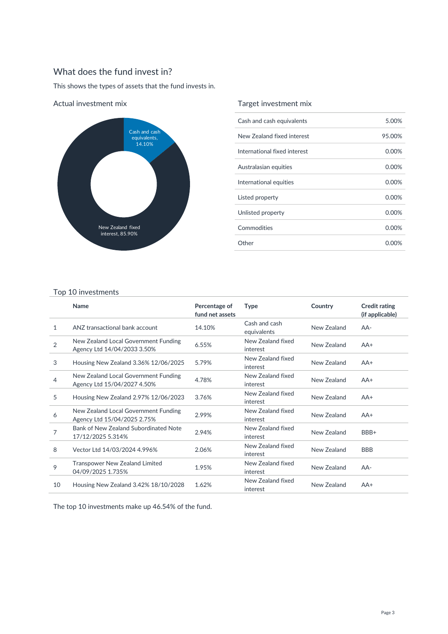# What does the fund invest in?

This shows the types of assets that the fund invests in.



Actual investment mix

## Target investment mix

| Cash and cash equivalents    | 5.00%    |
|------------------------------|----------|
| New Zealand fixed interest   | 95.00%   |
| International fixed interest | 0.00%    |
| Australasian equities        | 0.00%    |
| International equities       | 0.00%    |
| Listed property              | $0.00\%$ |
| Unlisted property            | $0.00\%$ |
| Commodities                  | 0.00%    |
| Other                        | 0.00%    |

#### Top 10 investments

|                | Name                                                                | Percentage of<br>fund net assets | <b>Type</b>                   | Country     | <b>Credit rating</b><br>(if applicable) |
|----------------|---------------------------------------------------------------------|----------------------------------|-------------------------------|-------------|-----------------------------------------|
| 1              | ANZ transactional bank account                                      | 14.10%                           | Cash and cash<br>equivalents  | New Zealand | $AA-$                                   |
| $\overline{2}$ | New Zealand Local Government Funding<br>Agency Ltd 14/04/2033 3.50% | 6.55%                            | New Zealand fixed<br>interest | New Zealand | $AA+$                                   |
| 3              | Housing New Zealand 3.36% 12/06/2025                                | 5.79%                            | New Zealand fixed<br>interest | New Zealand | $AA+$                                   |
| 4              | New Zealand Local Government Funding<br>Agency Ltd 15/04/2027 4.50% | 4.78%                            | New Zealand fixed<br>interest | New Zealand | $AA+$                                   |
| 5              | Housing New Zealand 2.97% 12/06/2023                                | 3.76%                            | New Zealand fixed<br>interest | New Zealand | $AA+$                                   |
| 6              | New Zealand Local Government Funding<br>Agency Ltd 15/04/2025 2.75% | 2.99%                            | New Zealand fixed<br>interest | New Zealand | $AA+$                                   |
| 7              | Bank of New Zealand Subordinated Note<br>17/12/2025 5.314%          | 2.94%                            | New Zealand fixed<br>interest | New Zealand | BBB+                                    |
| 8              | Vector Ltd 14/03/2024 4.996%                                        | 2.06%                            | New Zealand fixed<br>interest | New Zealand | <b>BBB</b>                              |
| 9              | <b>Transpower New Zealand Limited</b><br>04/09/2025 1.735%          | 1.95%                            | New Zealand fixed<br>interest | New Zealand | $AA-$                                   |
| 10             | Housing New Zealand 3.42% 18/10/2028                                | 1.62%                            | New Zealand fixed<br>interest | New Zealand | $AA+$                                   |

The top 10 investments make up 46.54% of the fund.